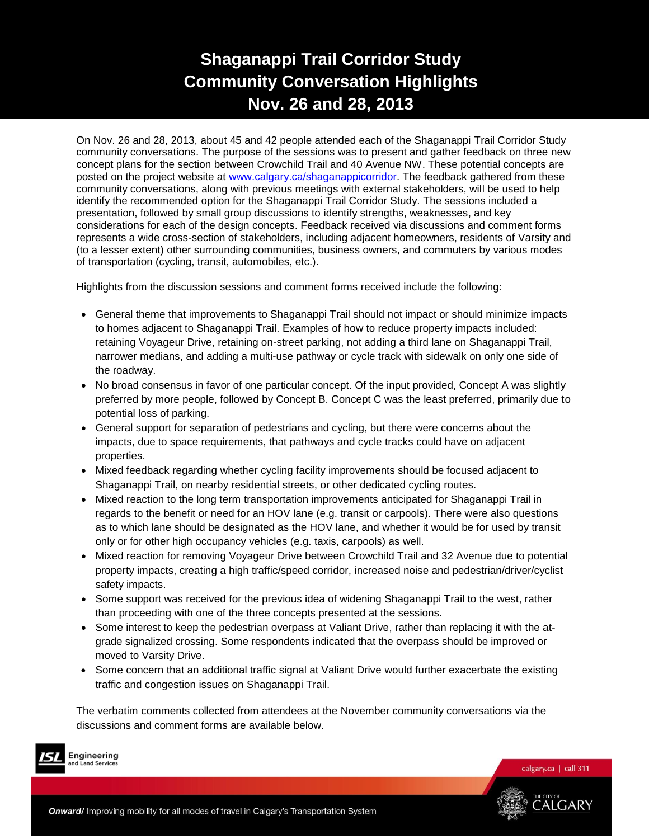# **Shaganappi Trail Corridor Study Community Conversation Highlights Nov. 26 and 28, 2013**

On Nov. 26 and 28, 2013, about 45 and 42 people attended each of the Shaganappi Trail Corridor Study community conversations. The purpose of the sessions was to present and gather feedback on three new concept plans for the section between Crowchild Trail and 40 Avenue NW. These potential concepts are posted on the project website at [www.calgary.ca/shaganappicorridor.](http://www.calgary.ca/shaganappicorridor) The feedback gathered from these community conversations, along with previous meetings with external stakeholders, will be used to help identify the recommended option for the Shaganappi Trail Corridor Study. The sessions included a presentation, followed by small group discussions to identify strengths, weaknesses, and key considerations for each of the design concepts. Feedback received via discussions and comment forms represents a wide cross-section of stakeholders, including adjacent homeowners, residents of Varsity and (to a lesser extent) other surrounding communities, business owners, and commuters by various modes of transportation (cycling, transit, automobiles, etc.).

Highlights from the discussion sessions and comment forms received include the following:

- General theme that improvements to Shaganappi Trail should not impact or should minimize impacts to homes adjacent to Shaganappi Trail. Examples of how to reduce property impacts included: retaining Voyageur Drive, retaining on-street parking, not adding a third lane on Shaganappi Trail, narrower medians, and adding a multi-use pathway or cycle track with sidewalk on only one side of the roadway.
- No broad consensus in favor of one particular concept. Of the input provided, Concept A was slightly preferred by more people, followed by Concept B. Concept C was the least preferred, primarily due to potential loss of parking.
- General support for separation of pedestrians and cycling, but there were concerns about the impacts, due to space requirements, that pathways and cycle tracks could have on adjacent properties.
- Mixed feedback regarding whether cycling facility improvements should be focused adjacent to Shaganappi Trail, on nearby residential streets, or other dedicated cycling routes.
- Mixed reaction to the long term transportation improvements anticipated for Shaganappi Trail in regards to the benefit or need for an HOV lane (e.g. transit or carpools). There were also questions as to which lane should be designated as the HOV lane, and whether it would be for used by transit only or for other high occupancy vehicles (e.g. taxis, carpools) as well.
- Mixed reaction for removing Voyageur Drive between Crowchild Trail and 32 Avenue due to potential property impacts, creating a high traffic/speed corridor, increased noise and pedestrian/driver/cyclist safety impacts.
- Some support was received for the previous idea of widening Shaganappi Trail to the west, rather than proceeding with one of the three concepts presented at the sessions.
- Some interest to keep the pedestrian overpass at Valiant Drive, rather than replacing it with the atgrade signalized crossing. Some respondents indicated that the overpass should be improved or moved to Varsity Drive.
- Some concern that an additional traffic signal at Valiant Drive would further exacerbate the existing traffic and congestion issues on Shaganappi Trail.

The verbatim comments collected from attendees at the November community conversations via the discussions and comment forms are available below.



Engineering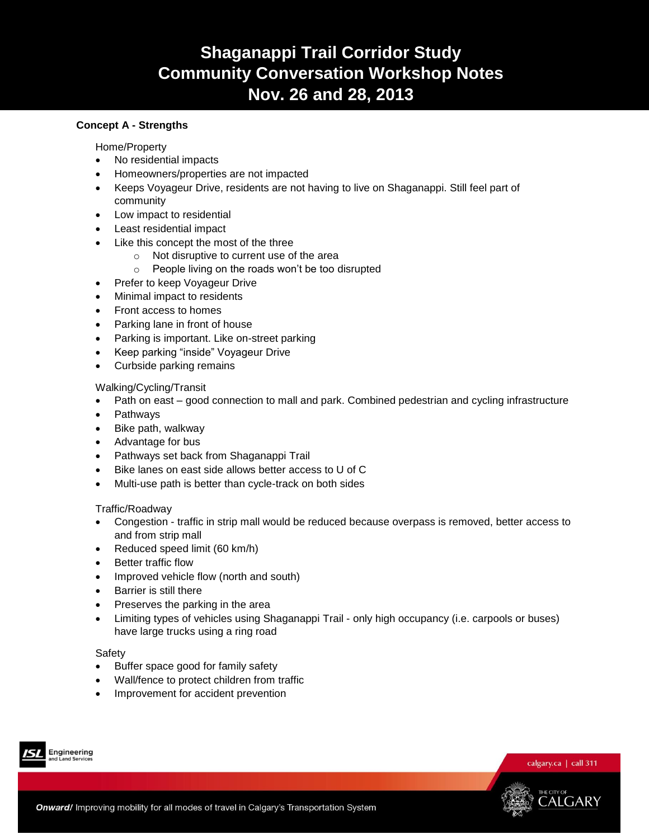# **Shaganappi Trail Corridor Study Community Conversation Workshop Notes Nov. 26 and 28, 2013**

## **Concept A - Strengths**

Home/Property

- No residential impacts
- Homeowners/properties are not impacted
- Keeps Voyageur Drive, residents are not having to live on Shaganappi. Still feel part of community
- Low impact to residential
- Least residential impact
- Like this concept the most of the three
	- o Not disruptive to current use of the area
	- o People living on the roads won't be too disrupted
- Prefer to keep Voyageur Drive
- Minimal impact to residents
- Front access to homes
- Parking lane in front of house
- Parking is important. Like on-street parking
- Keep parking "inside" Voyageur Drive
- Curbside parking remains

Walking/Cycling/Transit

- Path on east good connection to mall and park. Combined pedestrian and cycling infrastructure
- Pathways
- Bike path, walkway
- Advantage for bus
- Pathways set back from Shaganappi Trail
- Bike lanes on east side allows better access to U of C
- Multi-use path is better than cycle-track on both sides

## Traffic/Roadway

- Congestion traffic in strip mall would be reduced because overpass is removed, better access to and from strip mall
- Reduced speed limit (60 km/h)
- Better traffic flow
- Improved vehicle flow (north and south)
- Barrier is still there
- Preserves the parking in the area
- Limiting types of vehicles using Shaganappi Trail only high occupancy (i.e. carpools or buses) have large trucks using a ring road

#### Safety

- Buffer space good for family safety
- Wall/fence to protect children from traffic
- Improvement for accident prevention





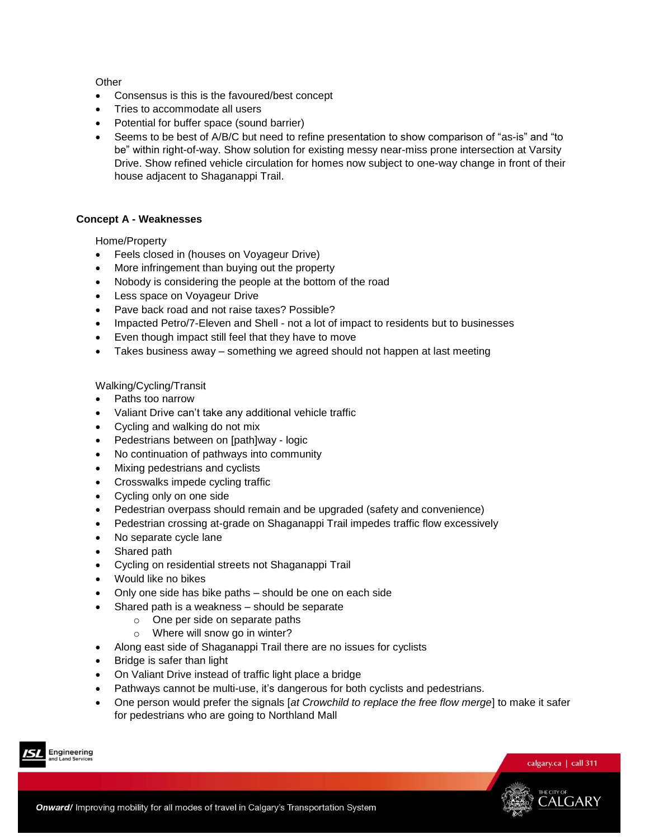### **Other**

- Consensus is this is the favoured/best concept
- Tries to accommodate all users
- Potential for buffer space (sound barrier)
- Seems to be best of A/B/C but need to refine presentation to show comparison of "as-is" and "to be" within right-of-way. Show solution for existing messy near-miss prone intersection at Varsity Drive. Show refined vehicle circulation for homes now subject to one-way change in front of their house adjacent to Shaganappi Trail.

## **Concept A - Weaknesses**

Home/Property

- Feels closed in (houses on Voyageur Drive)
- More infringement than buying out the property
- Nobody is considering the people at the bottom of the road
- Less space on Voyageur Drive
- Pave back road and not raise taxes? Possible?
- Impacted Petro/7-Eleven and Shell not a lot of impact to residents but to businesses
- Even though impact still feel that they have to move
- Takes business away something we agreed should not happen at last meeting

Walking/Cycling/Transit

- Paths too narrow
- Valiant Drive can't take any additional vehicle traffic
- Cycling and walking do not mix
- Pedestrians between on [path]way logic
- No continuation of pathways into community
- Mixing pedestrians and cyclists
- Crosswalks impede cycling traffic
- Cycling only on one side
- Pedestrian overpass should remain and be upgraded (safety and convenience)
- Pedestrian crossing at-grade on Shaganappi Trail impedes traffic flow excessively
- No separate cycle lane
- Shared path
- Cycling on residential streets not Shaganappi Trail
- Would like no bikes
- Only one side has bike paths should be one on each side
- Shared path is a weakness should be separate
	- o One per side on separate paths
	- o Where will snow go in winter?
- Along east side of Shaganappi Trail there are no issues for cyclists
- Bridge is safer than light
- On Valiant Drive instead of traffic light place a bridge
- Pathways cannot be multi-use, it's dangerous for both cyclists and pedestrians.
- One person would prefer the signals [*at Crowchild to replace the free flow merge*] to make it safer for pedestrians who are going to Northland Mall





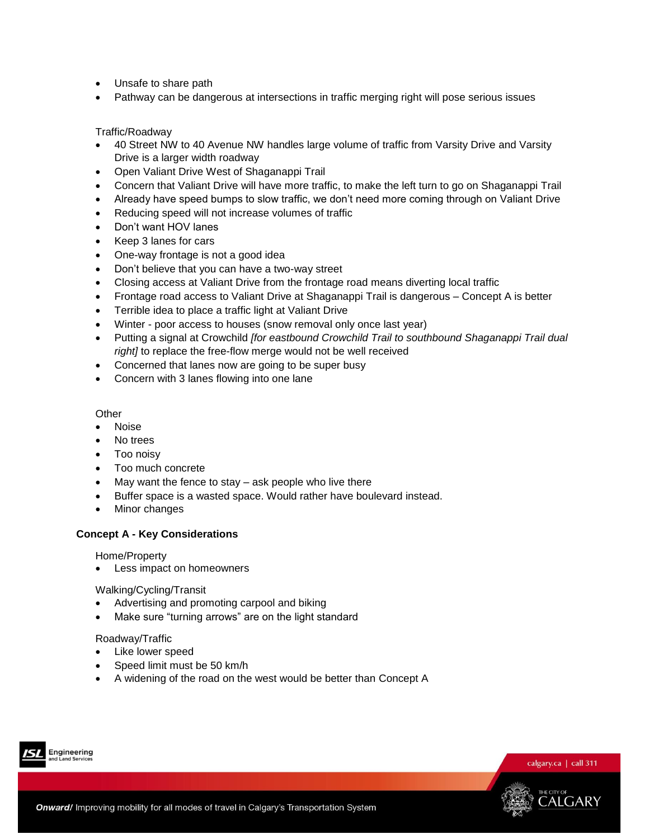- Unsafe to share path
- Pathway can be dangerous at intersections in traffic merging right will pose serious issues

### Traffic/Roadway

- 40 Street NW to 40 Avenue NW handles large volume of traffic from Varsity Drive and Varsity Drive is a larger width roadway
- Open Valiant Drive West of Shaganappi Trail
- Concern that Valiant Drive will have more traffic, to make the left turn to go on Shaganappi Trail
- Already have speed bumps to slow traffic, we don't need more coming through on Valiant Drive
- Reducing speed will not increase volumes of traffic
- Don't want HOV lanes
- Keep 3 lanes for cars
- One-way frontage is not a good idea
- Don't believe that you can have a two-way street
- Closing access at Valiant Drive from the frontage road means diverting local traffic
- Frontage road access to Valiant Drive at Shaganappi Trail is dangerous Concept A is better
- Terrible idea to place a traffic light at Valiant Drive
- Winter poor access to houses (snow removal only once last year)
- Putting a signal at Crowchild *[for eastbound Crowchild Trail to southbound Shaganappi Trail dual right]* to replace the free-flow merge would not be well received
- Concerned that lanes now are going to be super busy
- Concern with 3 lanes flowing into one lane

#### **Other**

- Noise
- No trees
- Too noisy
- Too much concrete
- May want the fence to stay ask people who live there
- Buffer space is a wasted space. Would rather have boulevard instead.
- Minor changes

#### **Concept A - Key Considerations**

Home/Property

Less impact on homeowners

Walking/Cycling/Transit

- Advertising and promoting carpool and biking
- Make sure "turning arrows" are on the light standard

#### Roadway/Traffic

- Like lower speed
- Speed limit must be 50 km/h
- A widening of the road on the west would be better than Concept A





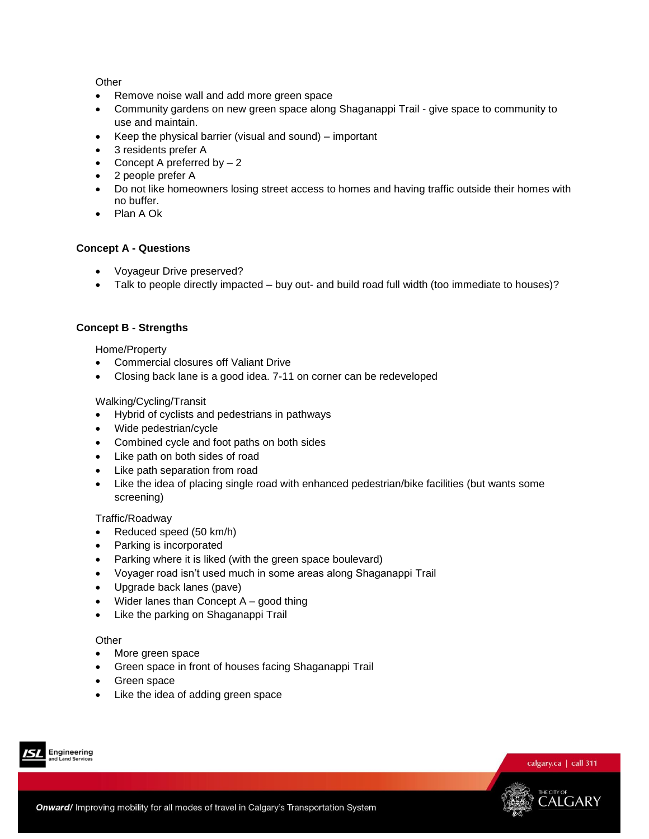### **Other**

- Remove noise wall and add more green space
- Community gardens on new green space along Shaganappi Trail give space to community to use and maintain.
- Keep the physical barrier (visual and sound) important
- 3 residents prefer A
- Concept A preferred by  $-2$
- 2 people prefer A
- Do not like homeowners losing street access to homes and having traffic outside their homes with no buffer.
- Plan A Ok

## **Concept A - Questions**

- Voyageur Drive preserved?
- Talk to people directly impacted buy out- and build road full width (too immediate to houses)?

## **Concept B - Strengths**

Home/Property

- Commercial closures off Valiant Drive
- Closing back lane is a good idea. 7-11 on corner can be redeveloped

## Walking/Cycling/Transit

- Hybrid of cyclists and pedestrians in pathways
- Wide pedestrian/cycle
- Combined cycle and foot paths on both sides
- Like path on both sides of road
- Like path separation from road
- Like the idea of placing single road with enhanced pedestrian/bike facilities (but wants some screening)

#### Traffic/Roadway

- Reduced speed (50 km/h)
- Parking is incorporated
- Parking where it is liked (with the green space boulevard)
- Voyager road isn't used much in some areas along Shaganappi Trail
- Upgrade back lanes (pave)
- Wider lanes than Concept A good thing
- Like the parking on Shaganappi Trail

#### **Other**

- More green space
- Green space in front of houses facing Shaganappi Trail
- Green space
- Like the idea of adding green space





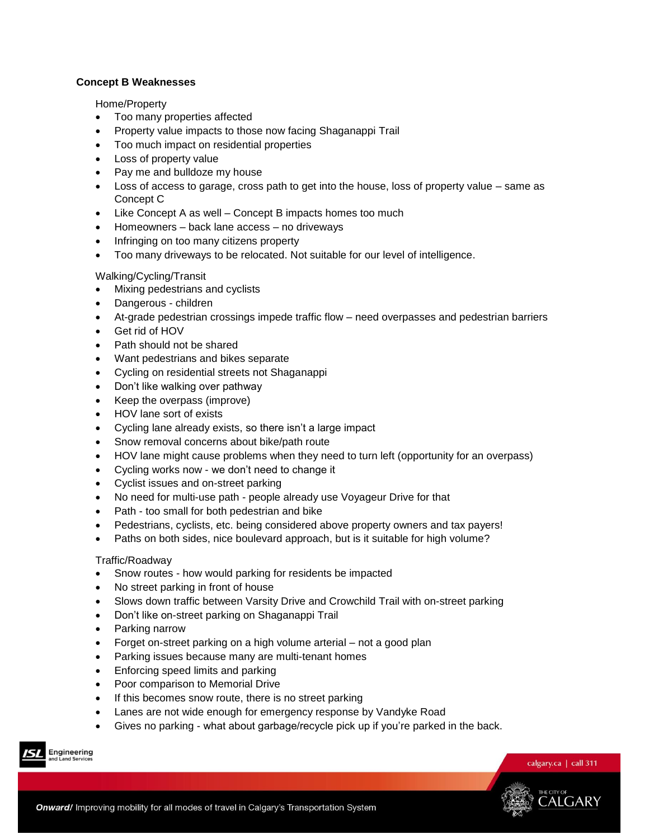## **Concept B Weaknesses**

Home/Property

- Too many properties affected
- Property value impacts to those now facing Shaganappi Trail
- Too much impact on residential properties
- Loss of property value
- Pay me and bulldoze my house
- Loss of access to garage, cross path to get into the house, loss of property value same as Concept C
- Like Concept A as well Concept B impacts homes too much
- Homeowners back lane access no driveways
- Infringing on too many citizens property
- Too many driveways to be relocated. Not suitable for our level of intelligence.

## Walking/Cycling/Transit

- Mixing pedestrians and cyclists
- Dangerous children
- At-grade pedestrian crossings impede traffic flow need overpasses and pedestrian barriers
- Get rid of HOV
- Path should not be shared
- Want pedestrians and bikes separate
- Cycling on residential streets not Shaganappi
- Don't like walking over pathway
- Keep the overpass (improve)
- HOV lane sort of exists
- Cycling lane already exists, so there isn't a large impact
- Snow removal concerns about bike/path route
- HOV lane might cause problems when they need to turn left (opportunity for an overpass)
- Cycling works now we don't need to change it
- Cyclist issues and on-street parking
- No need for multi-use path people already use Voyageur Drive for that
- Path too small for both pedestrian and bike
- Pedestrians, cyclists, etc. being considered above property owners and tax payers!
- Paths on both sides, nice boulevard approach, but is it suitable for high volume?

## Traffic/Roadway

- Snow routes how would parking for residents be impacted
- No street parking in front of house
- Slows down traffic between Varsity Drive and Crowchild Trail with on-street parking
- Don't like on-street parking on Shaganappi Trail
- Parking narrow
- Forget on-street parking on a high volume arterial not a good plan
- Parking issues because many are multi-tenant homes
- Enforcing speed limits and parking
- Poor comparison to Memorial Drive
- If this becomes snow route, there is no street parking
- Lanes are not wide enough for emergency response by Vandyke Road
- Gives no parking what about garbage/recycle pick up if you're parked in the back.



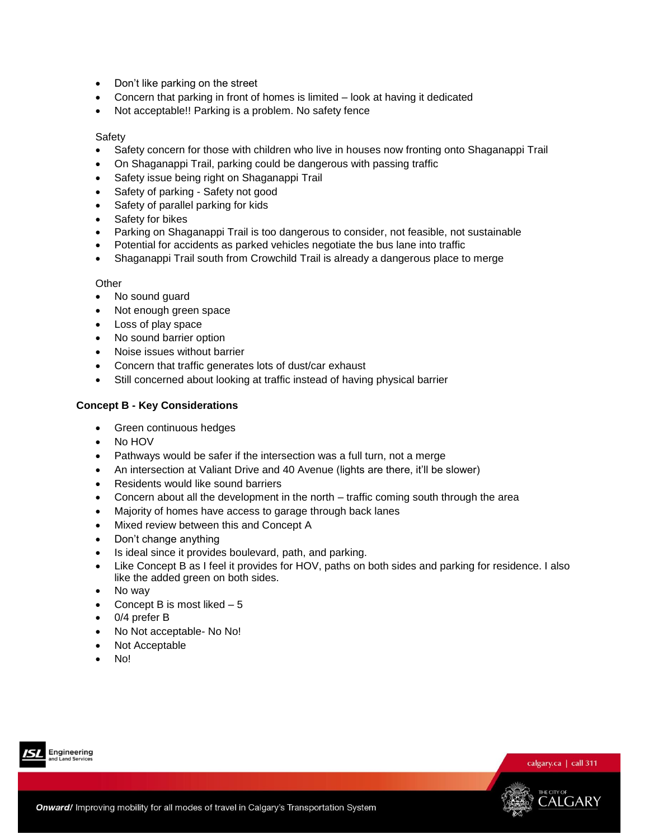- Don't like parking on the street
- Concern that parking in front of homes is limited look at having it dedicated
- Not acceptable!! Parking is a problem. No safety fence

#### **Safety**

- Safety concern for those with children who live in houses now fronting onto Shaganappi Trail
- On Shaganappi Trail, parking could be dangerous with passing traffic
- Safety issue being right on Shaganappi Trail
- Safety of parking Safety not good
- Safety of parallel parking for kids
- Safety for bikes
- Parking on Shaganappi Trail is too dangerous to consider, not feasible, not sustainable
- Potential for accidents as parked vehicles negotiate the bus lane into traffic
- Shaganappi Trail south from Crowchild Trail is already a dangerous place to merge

#### **Other**

- No sound guard
- Not enough green space
- Loss of play space
- No sound barrier option
- Noise issues without barrier
- Concern that traffic generates lots of dust/car exhaust
- Still concerned about looking at traffic instead of having physical barrier

## **Concept B - Key Considerations**

- Green continuous hedges
- No HOV
- Pathways would be safer if the intersection was a full turn, not a merge
- An intersection at Valiant Drive and 40 Avenue (lights are there, it'll be slower)
- Residents would like sound barriers
- Concern about all the development in the north traffic coming south through the area
- Majority of homes have access to garage through back lanes
- Mixed review between this and Concept A
- Don't change anything
- Is ideal since it provides boulevard, path, and parking.
- Like Concept B as I feel it provides for HOV, paths on both sides and parking for residence. I also like the added green on both sides.
- No way
- Concept B is most liked  $-5$
- 0/4 prefer B
- No Not acceptable- No No!
- Not Acceptable
- No!





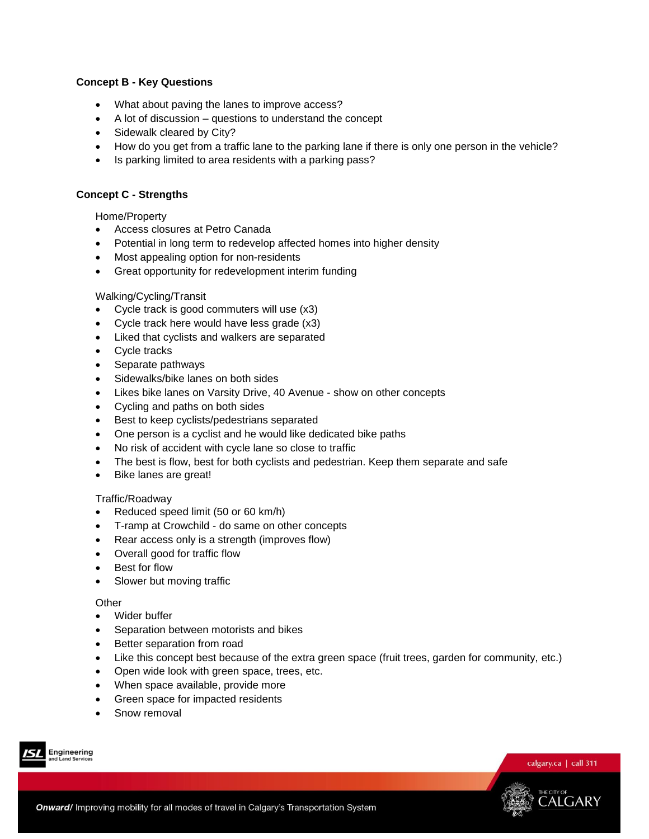## **Concept B - Key Questions**

- What about paving the lanes to improve access?
- A lot of discussion questions to understand the concept
- Sidewalk cleared by City?
- How do you get from a traffic lane to the parking lane if there is only one person in the vehicle?
- Is parking limited to area residents with a parking pass?

### **Concept C - Strengths**

Home/Property

- Access closures at Petro Canada
- Potential in long term to redevelop affected homes into higher density
- Most appealing option for non-residents
- Great opportunity for redevelopment interim funding

#### Walking/Cycling/Transit

- Cycle track is good commuters will use (x3)
- Cycle track here would have less grade (x3)
- Liked that cyclists and walkers are separated
- Cycle tracks
- Separate pathways
- Sidewalks/bike lanes on both sides
- Likes bike lanes on Varsity Drive, 40 Avenue show on other concepts
- Cycling and paths on both sides
- **Best to keep cyclists/pedestrians separated**
- One person is a cyclist and he would like dedicated bike paths
- No risk of accident with cycle lane so close to traffic
- The best is flow, best for both cyclists and pedestrian. Keep them separate and safe
- Bike lanes are great!

#### Traffic/Roadway

- Reduced speed limit (50 or 60 km/h)
- T-ramp at Crowchild do same on other concepts
- Rear access only is a strength (improves flow)
- Overall good for traffic flow
- Best for flow
- Slower but moving traffic

#### **Other**

- Wider buffer
- Separation between motorists and bikes
- Better separation from road
- Like this concept best because of the extra green space (fruit trees, garden for community, etc.)
- Open wide look with green space, trees, etc.
- When space available, provide more
- Green space for impacted residents
- Snow removal





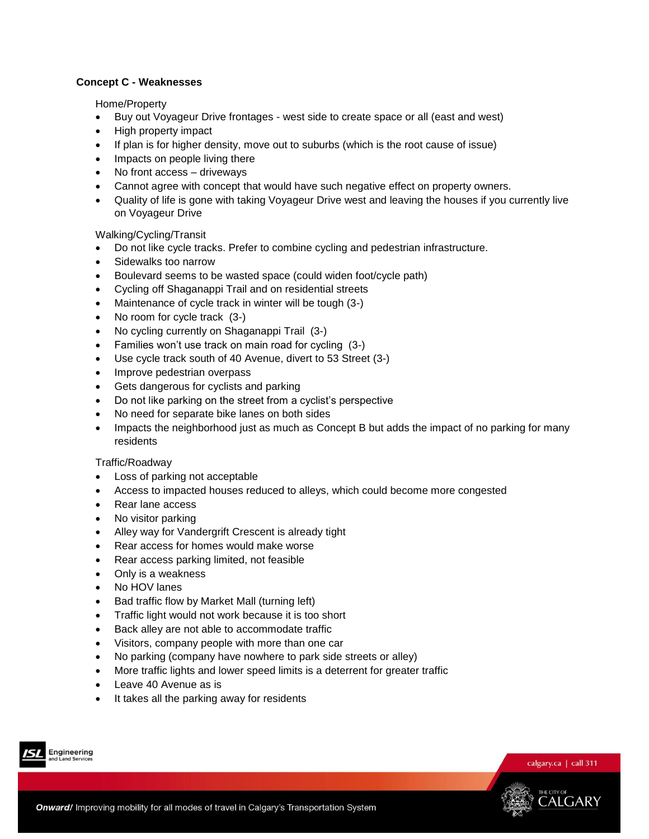## **Concept C - Weaknesses**

Home/Property

- Buy out Voyageur Drive frontages west side to create space or all (east and west)
- High property impact
- If plan is for higher density, move out to suburbs (which is the root cause of issue)
- Impacts on people living there
- No front access driveways
- Cannot agree with concept that would have such negative effect on property owners.
- Quality of life is gone with taking Voyageur Drive west and leaving the houses if you currently live on Voyageur Drive

Walking/Cycling/Transit

- Do not like cycle tracks. Prefer to combine cycling and pedestrian infrastructure.
- Sidewalks too narrow
- Boulevard seems to be wasted space (could widen foot/cycle path)
- Cycling off Shaganappi Trail and on residential streets
- Maintenance of cycle track in winter will be tough (3-)
- No room for cycle track (3-)
- No cycling currently on Shaganappi Trail (3-)
- Families won't use track on main road for cycling (3-)
- Use cycle track south of 40 Avenue, divert to 53 Street (3-)
- Improve pedestrian overpass
- Gets dangerous for cyclists and parking
- Do not like parking on the street from a cyclist's perspective
- No need for separate bike lanes on both sides
- Impacts the neighborhood just as much as Concept B but adds the impact of no parking for many residents

#### Traffic/Roadway

- Loss of parking not acceptable
- Access to impacted houses reduced to alleys, which could become more congested
- Rear lane access
- No visitor parking
- Alley way for Vandergrift Crescent is already tight
- Rear access for homes would make worse
- Rear access parking limited, not feasible
- Only is a weakness
- No HOV lanes
- Bad traffic flow by Market Mall (turning left)
- Traffic light would not work because it is too short
- Back alley are not able to accommodate traffic
- Visitors, company people with more than one car
- No parking (company have nowhere to park side streets or alley)
- More traffic lights and lower speed limits is a deterrent for greater traffic
- Leave 40 Avenue as is
- It takes all the parking away for residents





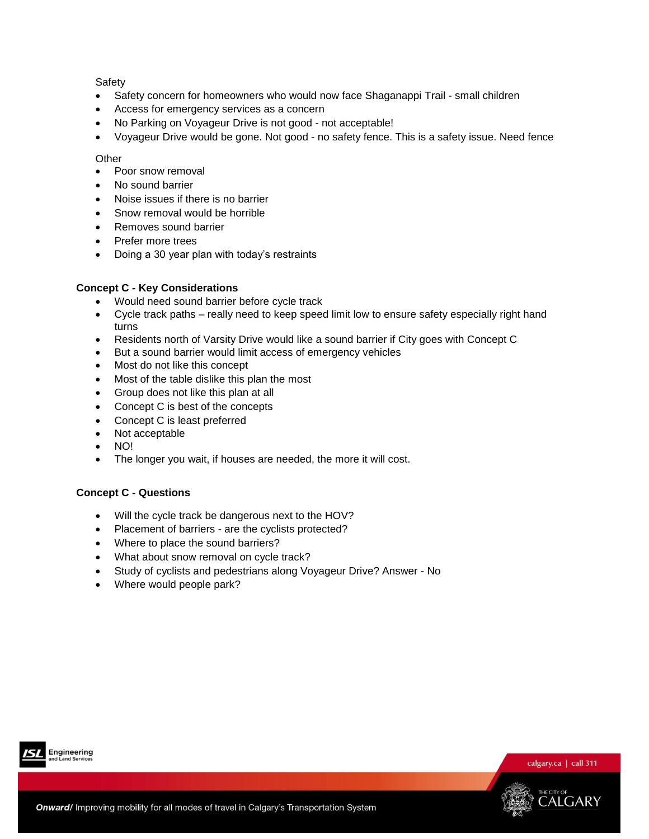## **Safety**

- Safety concern for homeowners who would now face Shaganappi Trail small children
- Access for emergency services as a concern
- No Parking on Voyageur Drive is not good not acceptable!
- Voyageur Drive would be gone. Not good no safety fence. This is a safety issue. Need fence

#### **Other**

- Poor snow removal
- No sound barrier
- Noise issues if there is no barrier
- Snow removal would be horrible
- Removes sound barrier
- Prefer more trees
- Doing a 30 year plan with today's restraints

## **Concept C - Key Considerations**

- Would need sound barrier before cycle track
- Cycle track paths really need to keep speed limit low to ensure safety especially right hand turns
- Residents north of Varsity Drive would like a sound barrier if City goes with Concept C
- But a sound barrier would limit access of emergency vehicles
- Most do not like this concept
- Most of the table dislike this plan the most
- Group does not like this plan at all
- Concept C is best of the concepts
- Concept C is least preferred
- Not acceptable
- $\bullet$  NO!
- The longer you wait, if houses are needed, the more it will cost.

## **Concept C - Questions**

- Will the cycle track be dangerous next to the HOV?
- Placement of barriers are the cyclists protected?
- Where to place the sound barriers?
- What about snow removal on cycle track?
- Study of cyclists and pedestrians along Voyageur Drive? Answer No
- Where would people park?



Engineering

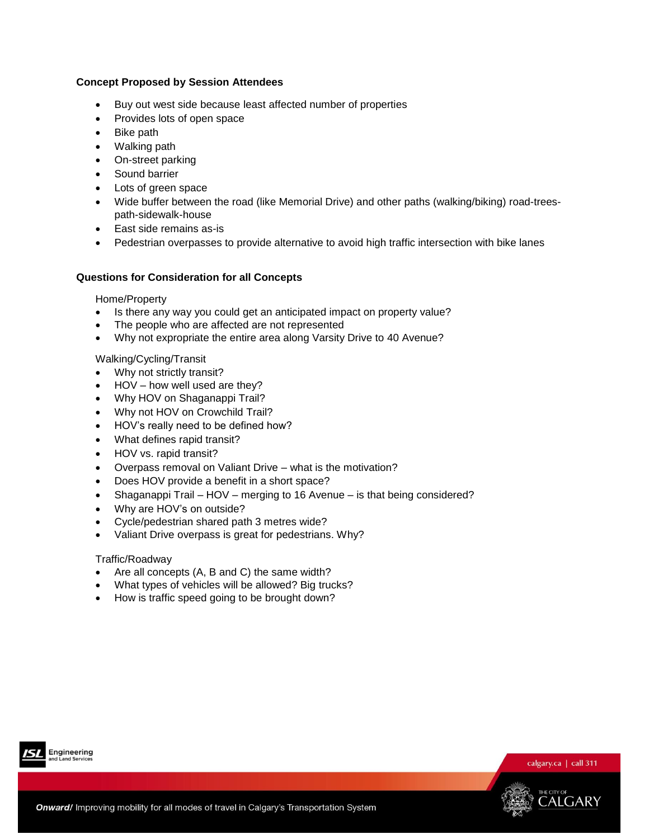## **Concept Proposed by Session Attendees**

- Buy out west side because least affected number of properties
- Provides lots of open space
- Bike path
- Walking path
- On-street parking
- Sound barrier
- Lots of green space
- Wide buffer between the road (like Memorial Drive) and other paths (walking/biking) road-treespath-sidewalk-house
- East side remains as-is
- Pedestrian overpasses to provide alternative to avoid high traffic intersection with bike lanes

## **Questions for Consideration for all Concepts**

#### Home/Property

- Is there any way you could get an anticipated impact on property value?
- The people who are affected are not represented
- Why not expropriate the entire area along Varsity Drive to 40 Avenue?

## Walking/Cycling/Transit

- Why not strictly transit?
- HOV how well used are they?
- Why HOV on Shaganappi Trail?
- Why not HOV on Crowchild Trail?
- HOV's really need to be defined how?
- What defines rapid transit?
- HOV vs. rapid transit?
- Overpass removal on Valiant Drive what is the motivation?
- Does HOV provide a benefit in a short space?
- Shaganappi Trail HOV merging to 16 Avenue is that being considered?
- Why are HOV's on outside?
- Cycle/pedestrian shared path 3 metres wide?
- Valiant Drive overpass is great for pedestrians. Why?

#### Traffic/Roadway

- Are all concepts (A, B and C) the same width?
- What types of vehicles will be allowed? Big trucks?
- How is traffic speed going to be brought down?



Engineering



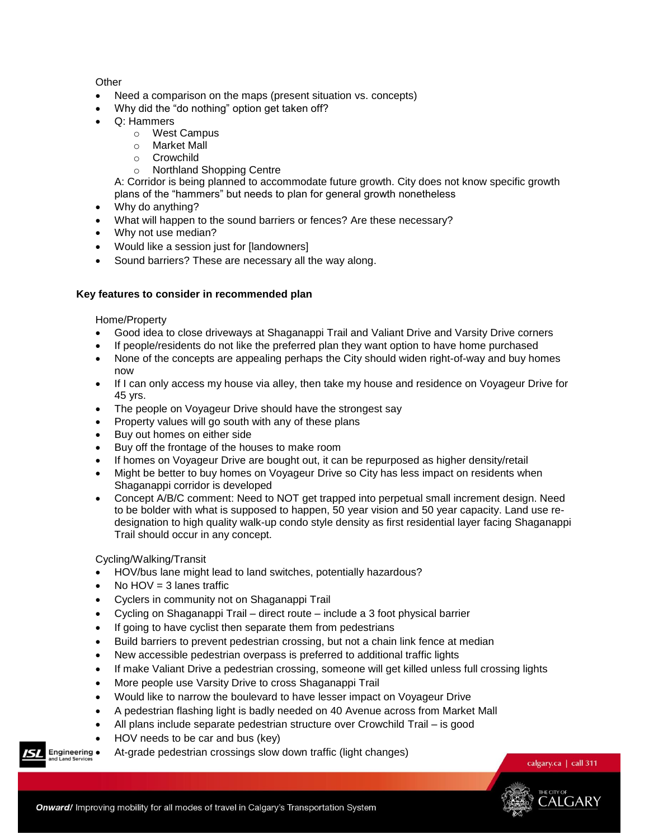## **Other**

- Need a comparison on the maps (present situation vs. concepts)
- Why did the "do nothing" option get taken off?
- Q: Hammers
	- o West Campus
	- o Market Mall
	- o Crowchild
	- o Northland Shopping Centre

A: Corridor is being planned to accommodate future growth. City does not know specific growth plans of the "hammers" but needs to plan for general growth nonetheless

- Why do anything?
- What will happen to the sound barriers or fences? Are these necessary?
- Why not use median?
- Would like a session just for [landowners]
- Sound barriers? These are necessary all the way along.

## **Key features to consider in recommended plan**

Home/Property

- Good idea to close driveways at Shaganappi Trail and Valiant Drive and Varsity Drive corners
- If people/residents do not like the preferred plan they want option to have home purchased
- None of the concepts are appealing perhaps the City should widen right-of-way and buy homes now
- If I can only access my house via alley, then take my house and residence on Voyageur Drive for 45 yrs.
- The people on Voyageur Drive should have the strongest say
- Property values will go south with any of these plans
- Buy out homes on either side
- Buy off the frontage of the houses to make room
- If homes on Voyageur Drive are bought out, it can be repurposed as higher density/retail
- Might be better to buy homes on Voyageur Drive so City has less impact on residents when Shaganappi corridor is developed
- Concept A/B/C comment: Need to NOT get trapped into perpetual small increment design. Need to be bolder with what is supposed to happen, 50 year vision and 50 year capacity. Land use redesignation to high quality walk-up condo style density as first residential layer facing Shaganappi Trail should occur in any concept.

Cycling/Walking/Transit

- HOV/bus lane might lead to land switches, potentially hazardous?
- $\bullet$  No HOV = 3 lanes traffic
- Cyclers in community not on Shaganappi Trail
- Cycling on Shaganappi Trail direct route include a 3 foot physical barrier
- If going to have cyclist then separate them from pedestrians
- Build barriers to prevent pedestrian crossing, but not a chain link fence at median
- New accessible pedestrian overpass is preferred to additional traffic lights
- If make Valiant Drive a pedestrian crossing, someone will get killed unless full crossing lights
- More people use Varsity Drive to cross Shaganappi Trail
- Would like to narrow the boulevard to have lesser impact on Voyageur Drive
- A pedestrian flashing light is badly needed on 40 Avenue across from Market Mall
- All plans include separate pedestrian structure over Crowchild Trail is good
- HOV needs to be car and bus (key)
- At-grade pedestrian crossings slow down traffic (light changes)

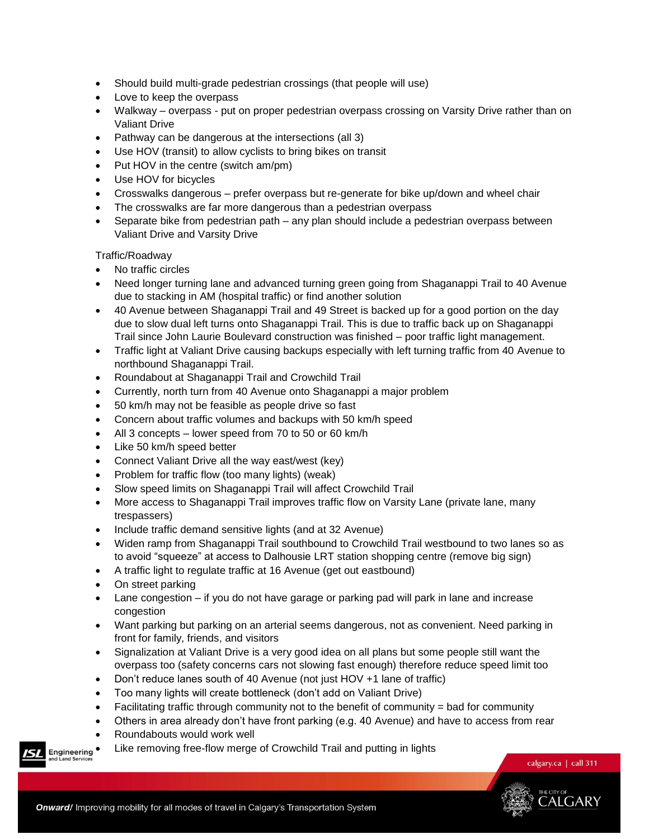- Should build multi-grade pedestrian crossings (that people will use)
- Love to keep the overpass
- Walkway overpass put on proper pedestrian overpass crossing on Varsity Drive rather than on Valiant Drive
- Pathway can be dangerous at the intersections (all 3)
- Use HOV (transit) to allow cyclists to bring bikes on transit
- Put HOV in the centre (switch am/pm)
- Use HOV for bicycles
- Crosswalks dangerous prefer overpass but re-generate for bike up/down and wheel chair
- The crosswalks are far more dangerous than a pedestrian overpass
- Separate bike from pedestrian path any plan should include a pedestrian overpass between Valiant Drive and Varsity Drive

Traffic/Roadway

- No traffic circles
- Need longer turning lane and advanced turning green going from Shaganappi Trail to 40 Avenue due to stacking in AM (hospital traffic) or find another solution
- 40 Avenue between Shaganappi Trail and 49 Street is backed up for a good portion on the day due to slow dual left turns onto Shaganappi Trail. This is due to traffic back up on Shaganappi Trail since John Laurie Boulevard construction was finished – poor traffic light management.
- Traffic light at Valiant Drive causing backups especially with left turning traffic from 40 Avenue to northbound Shaganappi Trail.
- Roundabout at Shaganappi Trail and Crowchild Trail
- Currently, north turn from 40 Avenue onto Shaganappi a major problem
- 50 km/h may not be feasible as people drive so fast
- Concern about traffic volumes and backups with 50 km/h speed
- All 3 concepts lower speed from 70 to 50 or 60 km/h
- Like 50 km/h speed better
- Connect Valiant Drive all the way east/west (key)
- Problem for traffic flow (too many lights) (weak)
- Slow speed limits on Shaganappi Trail will affect Crowchild Trail
- More access to Shaganappi Trail improves traffic flow on Varsity Lane (private lane, many trespassers)
- Include traffic demand sensitive lights (and at 32 Avenue)
- Widen ramp from Shaganappi Trail southbound to Crowchild Trail westbound to two lanes so as to avoid "squeeze" at access to Dalhousie LRT station shopping centre (remove big sign)
- A traffic light to regulate traffic at 16 Avenue (get out eastbound)
- On street parking
- Lane congestion if you do not have garage or parking pad will park in lane and increase congestion
- Want parking but parking on an arterial seems dangerous, not as convenient. Need parking in front for family, friends, and visitors
- Signalization at Valiant Drive is a very good idea on all plans but some people still want the overpass too (safety concerns cars not slowing fast enough) therefore reduce speed limit too
- Don't reduce lanes south of 40 Avenue (not just HOV +1 lane of traffic)
- Too many lights will create bottleneck (don't add on Valiant Drive)
- $\bullet$  Facilitating traffic through community not to the benefit of community  $=$  bad for community
- Others in area already don't have front parking (e.g. 40 Avenue) and have to access from rear
- Roundabouts would work well
- Engineering Like removing free-flow merge of Crowchild Trail and putting in lights



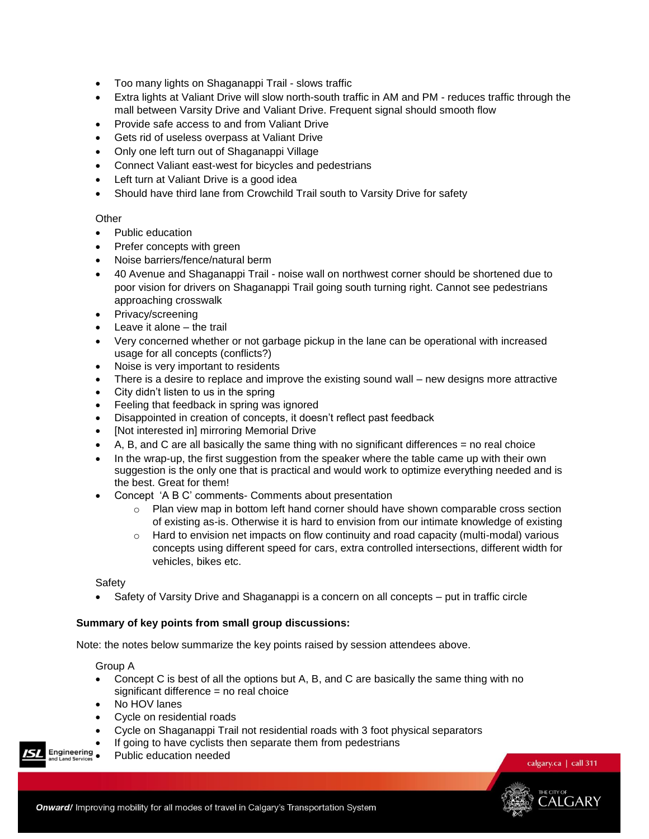- Too many lights on Shaganappi Trail slows traffic
- Extra lights at Valiant Drive will slow north-south traffic in AM and PM reduces traffic through the mall between Varsity Drive and Valiant Drive. Frequent signal should smooth flow
- Provide safe access to and from Valiant Drive
- Gets rid of useless overpass at Valiant Drive
- Only one left turn out of Shaganappi Village
- Connect Valiant east-west for bicycles and pedestrians
- Left turn at Valiant Drive is a good idea
- Should have third lane from Crowchild Trail south to Varsity Drive for safety

#### **Other**

- Public education
- Prefer concepts with green
- Noise barriers/fence/natural berm
- 40 Avenue and Shaganappi Trail noise wall on northwest corner should be shortened due to poor vision for drivers on Shaganappi Trail going south turning right. Cannot see pedestrians approaching crosswalk
- Privacy/screening
- Leave it alone the trail
- Very concerned whether or not garbage pickup in the lane can be operational with increased usage for all concepts (conflicts?)
- Noise is very important to residents
- There is a desire to replace and improve the existing sound wall new designs more attractive
- City didn't listen to us in the spring
- Feeling that feedback in spring was ignored
- Disappointed in creation of concepts, it doesn't reflect past feedback
- [Not interested in] mirroring Memorial Drive
- A, B, and C are all basically the same thing with no significant differences = no real choice
- In the wrap-up, the first suggestion from the speaker where the table came up with their own suggestion is the only one that is practical and would work to optimize everything needed and is the best. Great for them!
- Concept 'A B C' comments- Comments about presentation
	- $\circ$  Plan view map in bottom left hand corner should have shown comparable cross section of existing as-is. Otherwise it is hard to envision from our intimate knowledge of existing
	- $\circ$  Hard to envision net impacts on flow continuity and road capacity (multi-modal) various concepts using different speed for cars, extra controlled intersections, different width for vehicles, bikes etc.

Safety

• Safety of Varsity Drive and Shaganappi is a concern on all concepts – put in traffic circle

#### **Summary of key points from small group discussions:**

Note: the notes below summarize the key points raised by session attendees above.

Group A

- Concept C is best of all the options but A, B, and C are basically the same thing with no significant difference = no real choice
- No HOV lanes
- Cycle on residential roads
- Cycle on Shaganappi Trail not residential roads with 3 foot physical separators
- **If going to have cyclists then separate them from pedestrians**<br>Engineering and public education peoded

Public education needed

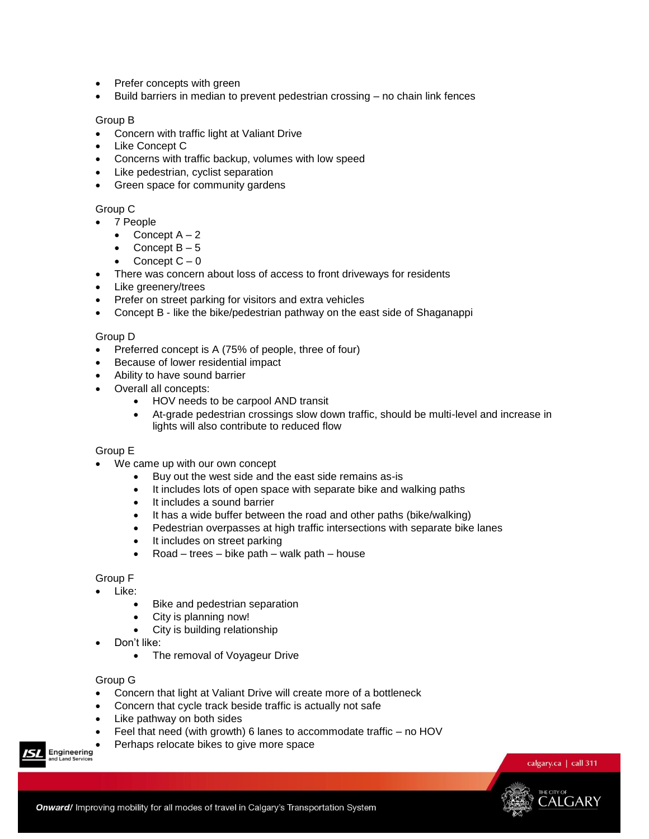- Prefer concepts with green
- Build barriers in median to prevent pedestrian crossing no chain link fences

### Group B

- Concern with traffic light at Valiant Drive
- Like Concept C
- Concerns with traffic backup, volumes with low speed
- Like pedestrian, cyclist separation
- Green space for community gardens

## Group C

7 People

- Concept  $A 2$
- Concept B 5
- Concept  $C 0$
- There was concern about loss of access to front driveways for residents
- Like greenery/trees
- Prefer on street parking for visitors and extra vehicles
- Concept B like the bike/pedestrian pathway on the east side of Shaganappi

#### Group D

- Preferred concept is A (75% of people, three of four)
- Because of lower residential impact
- Ability to have sound barrier
- Overall all concepts:
	- HOV needs to be carpool AND transit
	- At-grade pedestrian crossings slow down traffic, should be multi-level and increase in lights will also contribute to reduced flow

#### Group E

- We came up with our own concept
	- Buy out the west side and the east side remains as-is
	- It includes lots of open space with separate bike and walking paths
	- It includes a sound barrier
	- It has a wide buffer between the road and other paths (bike/walking)
	- Pedestrian overpasses at high traffic intersections with separate bike lanes
	- It includes on street parking
	- Road trees bike path walk path house

#### Group F

- Like:
	- Bike and pedestrian separation
	- City is planning now!
	- City is building relationship
- Don't like:
	- The removal of Voyageur Drive

#### Group G

- Concern that light at Valiant Drive will create more of a bottleneck
- Concern that cycle track beside traffic is actually not safe
- Like pathway on both sides
- Feel that need (with growth) 6 lanes to accommodate traffic no HOV
- Perhaps relocate bikes to give more space

Engineering



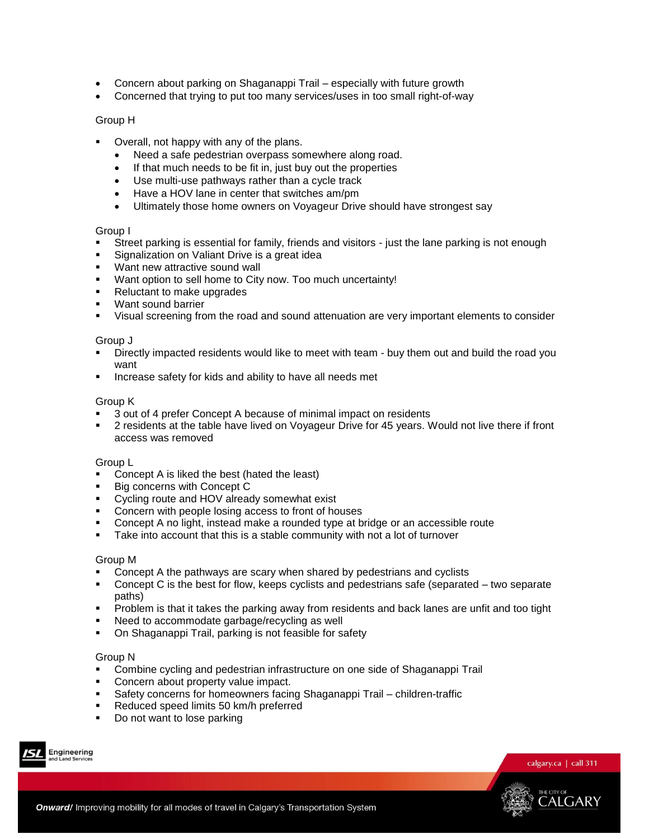- Concern about parking on Shaganappi Trail especially with future growth
- Concerned that trying to put too many services/uses in too small right-of-way

### Group H

- Overall, not happy with any of the plans.
	- Need a safe pedestrian overpass somewhere along road.
	- If that much needs to be fit in, just buy out the properties
	- Use multi-use pathways rather than a cycle track
	- Have a HOV lane in center that switches am/pm
	- Ultimately those home owners on Voyageur Drive should have strongest say

#### Group I

- Street parking is essential for family, friends and visitors just the lane parking is not enough
- Signalization on Valiant Drive is a great idea
- **Want new attractive sound wall**
- Want option to sell home to City now. Too much uncertainty!
- **Reluctant to make upgrades**
- **Want sound barrier**
- Visual screening from the road and sound attenuation are very important elements to consider

#### Group J

- Directly impacted residents would like to meet with team buy them out and build the road you want
- **Increase safety for kids and ability to have all needs met**

#### Group K

- 3 out of 4 prefer Concept A because of minimal impact on residents
- 2 residents at the table have lived on Voyageur Drive for 45 years. Would not live there if front access was removed

#### Group L

- Concept A is liked the best (hated the least)<br>■ Big concerns with Concept C
- Big concerns with Concept C
- **•** Cycling route and HOV already somewhat exist
- Concern with people losing access to front of houses
- Concept A no light, instead make a rounded type at bridge or an accessible route
- Take into account that this is a stable community with not a lot of turnover

#### Group M

- **Concept A the pathways are scary when shared by pedestrians and cyclists**
- Concept C is the best for flow, keeps cyclists and pedestrians safe (separated two separate paths)
- **Problem is that it takes the parking away from residents and back lanes are unfit and too tight**
- Need to accommodate garbage/recycling as well
- On Shaganappi Trail, parking is not feasible for safety

#### Group N

- Combine cycling and pedestrian infrastructure on one side of Shaganappi Trail
- **Concern about property value impact.**
- Safety concerns for homeowners facing Shaganappi Trail children-traffic
- Reduced speed limits 50 km/h preferred
- Do not want to lose parking





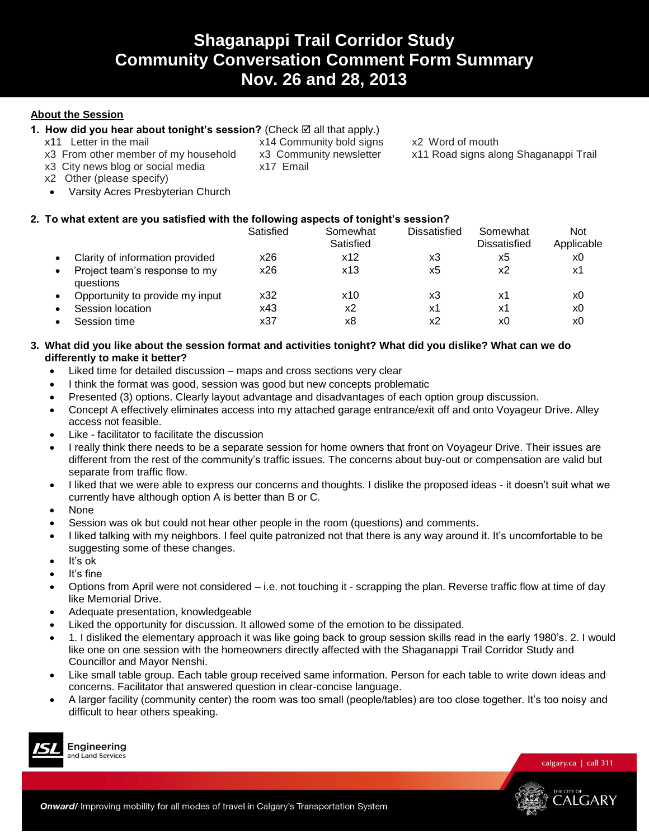## **Shaganappi Trail Corridor Study Community Conversation Comment Form Summary Nov. 26 and 28, 2013**

## **About the Session**

## 1. How did you hear about tonight's session? (Check  $\boxtimes$  all that apply.)

- 
- 
- x3 City news blog or social media x17 Email

x11 Letter in the mail **x14 Community bold signs** x2 Word of mouth x3 From other member of my household x3 Community newsletter x11 Road signs alo

x3 From other member of my household x3 Community newsletter x11 Road signs along Shaganappi Trail

- x2 Other (please specify)
- Varsity Acres Presbyterian Church

## **2. To what extent are you satisfied with the following aspects of tonight's session?**

|           |                                            | Satisfied | Somewhat<br>Satisfied | Dissatisfied | Somewhat<br><b>Dissatisfied</b> | Not<br>Applicable |
|-----------|--------------------------------------------|-----------|-----------------------|--------------|---------------------------------|-------------------|
|           | Clarity of information provided            | x26       | x12                   | x3           | х5                              | x0                |
|           | Project team's response to my<br>questions | x26       | x13                   | x5           | х2                              | х1                |
| $\bullet$ | Opportunity to provide my input            | x32       | x10                   | xЗ           | х1                              | x0                |
|           | Session location                           | x43       | х2                    | х1           | х1                              | x0                |
|           | Session time                               | x37       | х8                    | х2           | x0                              | x0                |

## **3. What did you like about the session format and activities tonight? What did you dislike? What can we do differently to make it better?**

- Liked time for detailed discussion maps and cross sections very clear
- I think the format was good, session was good but new concepts problematic
- Presented (3) options. Clearly layout advantage and disadvantages of each option group discussion.
- Concept A effectively eliminates access into my attached garage entrance/exit off and onto Voyageur Drive. Alley access not feasible.
- Like facilitator to facilitate the discussion
- I really think there needs to be a separate session for home owners that front on Voyageur Drive. Their issues are different from the rest of the community's traffic issues. The concerns about buy-out or compensation are valid but separate from traffic flow.
- I liked that we were able to express our concerns and thoughts. I dislike the proposed ideas it doesn't suit what we currently have although option A is better than B or C.
- None
- Session was ok but could not hear other people in the room (questions) and comments.
- I liked talking with my neighbors. I feel quite patronized not that there is any way around it. It's uncomfortable to be suggesting some of these changes.
- $\bullet$  It's ok
- It's fine
- Options from April were not considered i.e. not touching it scrapping the plan. Reverse traffic flow at time of day like Memorial Drive.
- Adequate presentation, knowledgeable
- Liked the opportunity for discussion. It allowed some of the emotion to be dissipated.
- 1. I disliked the elementary approach it was like going back to group session skills read in the early 1980's. 2. I would like one on one session with the homeowners directly affected with the Shaganappi Trail Corridor Study and Councillor and Mayor Nenshi.
- Like small table group. Each table group received same information. Person for each table to write down ideas and concerns. Facilitator that answered question in clear-concise language.
- A larger facility (community center) the room was too small (people/tables) are too close together. It's too noisy and difficult to hear others speaking.



Engineering and Land Services

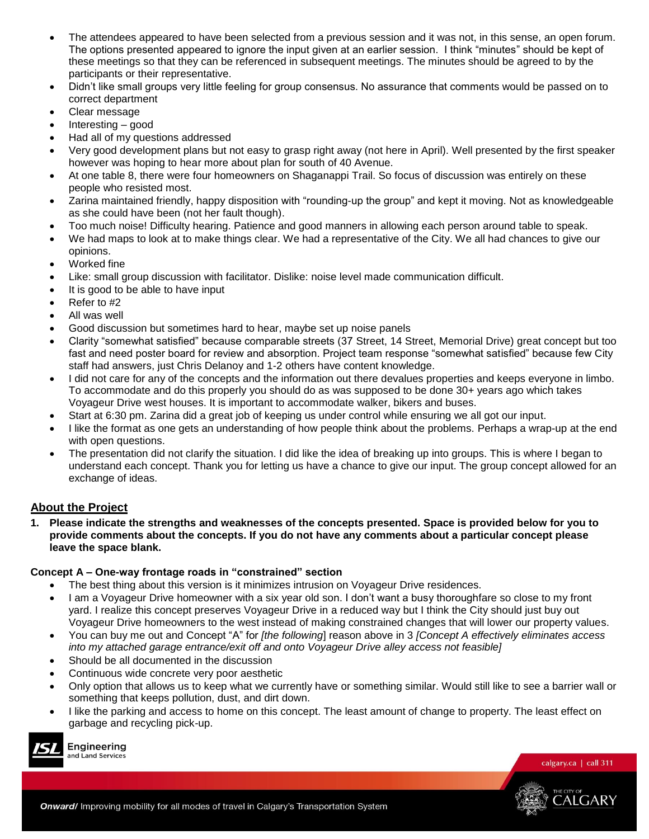- The attendees appeared to have been selected from a previous session and it was not, in this sense, an open forum. The options presented appeared to ignore the input given at an earlier session. I think "minutes" should be kept of these meetings so that they can be referenced in subsequent meetings. The minutes should be agreed to by the participants or their representative.
- Didn't like small groups very little feeling for group consensus. No assurance that comments would be passed on to correct department
- Clear message
- Interesting good
- Had all of my questions addressed
- Very good development plans but not easy to grasp right away (not here in April). Well presented by the first speaker however was hoping to hear more about plan for south of 40 Avenue.
- At one table 8, there were four homeowners on Shaganappi Trail. So focus of discussion was entirely on these people who resisted most.
- Zarina maintained friendly, happy disposition with "rounding-up the group" and kept it moving. Not as knowledgeable as she could have been (not her fault though).
- Too much noise! Difficulty hearing. Patience and good manners in allowing each person around table to speak.
- We had maps to look at to make things clear. We had a representative of the City. We all had chances to give our opinions.
- Worked fine
- Like: small group discussion with facilitator. Dislike: noise level made communication difficult.
- It is good to be able to have input
- Refer to #2
- All was well
- Good discussion but sometimes hard to hear, maybe set up noise panels
- Clarity "somewhat satisfied" because comparable streets (37 Street, 14 Street, Memorial Drive) great concept but too fast and need poster board for review and absorption. Project team response "somewhat satisfied" because few City staff had answers, just Chris Delanoy and 1-2 others have content knowledge.
- I did not care for any of the concepts and the information out there devalues properties and keeps everyone in limbo. To accommodate and do this properly you should do as was supposed to be done 30+ years ago which takes Voyageur Drive west houses. It is important to accommodate walker, bikers and buses.
- Start at 6:30 pm. Zarina did a great job of keeping us under control while ensuring we all got our input.
- I like the format as one gets an understanding of how people think about the problems. Perhaps a wrap-up at the end with open questions.
- The presentation did not clarify the situation. I did like the idea of breaking up into groups. This is where I began to understand each concept. Thank you for letting us have a chance to give our input. The group concept allowed for an exchange of ideas.

## **About the Project**

**1. Please indicate the strengths and weaknesses of the concepts presented. Space is provided below for you to provide comments about the concepts. If you do not have any comments about a particular concept please leave the space blank.** 

#### **Concept A – One-way frontage roads in "constrained" section**

- The best thing about this version is it minimizes intrusion on Voyageur Drive residences.
- I am a Voyageur Drive homeowner with a six year old son. I don't want a busy thoroughfare so close to my front yard. I realize this concept preserves Voyageur Drive in a reduced way but I think the City should just buy out Voyageur Drive homeowners to the west instead of making constrained changes that will lower our property values.
- You can buy me out and Concept "A" for *[the following*] reason above in 3 *[Concept A effectively eliminates access into my attached garage entrance/exit off and onto Voyageur Drive alley access not feasible]*
- Should be all documented in the discussion
- Continuous wide concrete very poor aesthetic
- Only option that allows us to keep what we currently have or something similar. Would still like to see a barrier wall or something that keeps pollution, dust, and dirt down.
- I like the parking and access to home on this concept. The least amount of change to property. The least effect on garbage and recycling pick-up.



Engineering and Land Services



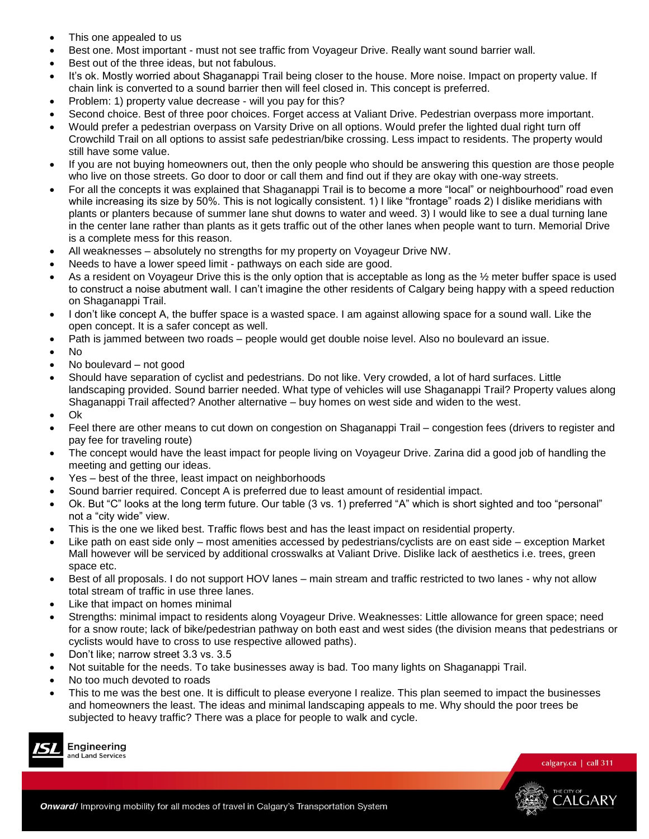- This one appealed to us
- Best one. Most important must not see traffic from Voyageur Drive. Really want sound barrier wall.
- Best out of the three ideas, but not fabulous.
- It's ok. Mostly worried about Shaganappi Trail being closer to the house. More noise. Impact on property value. If chain link is converted to a sound barrier then will feel closed in. This concept is preferred.
- Problem: 1) property value decrease will you pay for this?
- Second choice. Best of three poor choices. Forget access at Valiant Drive. Pedestrian overpass more important.
- Would prefer a pedestrian overpass on Varsity Drive on all options. Would prefer the lighted dual right turn off Crowchild Trail on all options to assist safe pedestrian/bike crossing. Less impact to residents. The property would still have some value.
- If you are not buying homeowners out, then the only people who should be answering this question are those people who live on those streets. Go door to door or call them and find out if they are okay with one-way streets.
- For all the concepts it was explained that Shaganappi Trail is to become a more "local" or neighbourhood" road even while increasing its size by 50%. This is not logically consistent. 1) I like "frontage" roads 2) I dislike meridians with plants or planters because of summer lane shut downs to water and weed. 3) I would like to see a dual turning lane in the center lane rather than plants as it gets traffic out of the other lanes when people want to turn. Memorial Drive is a complete mess for this reason.
- All weaknesses absolutely no strengths for my property on Voyageur Drive NW.
- Needs to have a lower speed limit pathways on each side are good.
- As a resident on Voyageur Drive this is the only option that is acceptable as long as the 1/2 meter buffer space is used to construct a noise abutment wall. I can't imagine the other residents of Calgary being happy with a speed reduction on Shaganappi Trail.
- I don't like concept A, the buffer space is a wasted space. I am against allowing space for a sound wall. Like the open concept. It is a safer concept as well.
- Path is jammed between two roads people would get double noise level. Also no boulevard an issue.
- No
- No boulevard not good
- Should have separation of cyclist and pedestrians. Do not like. Very crowded, a lot of hard surfaces. Little landscaping provided. Sound barrier needed. What type of vehicles will use Shaganappi Trail? Property values along Shaganappi Trail affected? Another alternative – buy homes on west side and widen to the west.
- Ok
- Feel there are other means to cut down on congestion on Shaganappi Trail congestion fees (drivers to register and pay fee for traveling route)
- The concept would have the least impact for people living on Voyageur Drive. Zarina did a good job of handling the meeting and getting our ideas.
- Yes best of the three, least impact on neighborhoods
- Sound barrier required. Concept A is preferred due to least amount of residential impact.
- Ok. But "C" looks at the long term future. Our table (3 vs. 1) preferred "A" which is short sighted and too "personal" not a "city wide" view.
- This is the one we liked best. Traffic flows best and has the least impact on residential property.
- Like path on east side only most amenities accessed by pedestrians/cyclists are on east side exception Market Mall however will be serviced by additional crosswalks at Valiant Drive. Dislike lack of aesthetics i.e. trees, green space etc.
- Best of all proposals. I do not support HOV lanes main stream and traffic restricted to two lanes why not allow total stream of traffic in use three lanes.
- Like that impact on homes minimal
- Strengths: minimal impact to residents along Voyageur Drive. Weaknesses: Little allowance for green space; need for a snow route; lack of bike/pedestrian pathway on both east and west sides (the division means that pedestrians or cyclists would have to cross to use respective allowed paths).
- Don't like; narrow street 3.3 vs. 3.5
- Not suitable for the needs. To take businesses away is bad. Too many lights on Shaganappi Trail.
- No too much devoted to roads
- This to me was the best one. It is difficult to please everyone I realize. This plan seemed to impact the businesses and homeowners the least. The ideas and minimal landscaping appeals to me. Why should the poor trees be subjected to heavy traffic? There was a place for people to walk and cycle.



Engineering and Land Services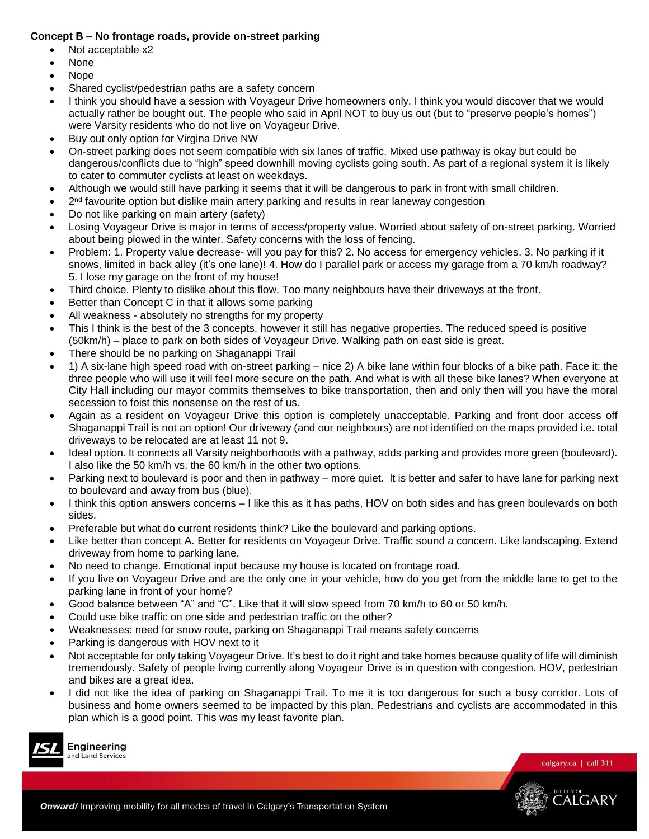## **Concept B – No frontage roads, provide on-street parking**

- Not acceptable x2
- None
- Nope
- Shared cyclist/pedestrian paths are a safety concern
- I think you should have a session with Voyageur Drive homeowners only. I think you would discover that we would actually rather be bought out. The people who said in April NOT to buy us out (but to "preserve people's homes") were Varsity residents who do not live on Voyageur Drive.
- Buy out only option for Virgina Drive NW
- On-street parking does not seem compatible with six lanes of traffic. Mixed use pathway is okay but could be dangerous/conflicts due to "high" speed downhill moving cyclists going south. As part of a regional system it is likely to cater to commuter cyclists at least on weekdays.
- Although we would still have parking it seems that it will be dangerous to park in front with small children.
- $\bullet$  2<sup>nd</sup> favourite option but dislike main artery parking and results in rear laneway congestion
- Do not like parking on main artery (safety)
- Losing Voyageur Drive is major in terms of access/property value. Worried about safety of on-street parking. Worried about being plowed in the winter. Safety concerns with the loss of fencing.
- Problem: 1. Property value decrease- will you pay for this? 2. No access for emergency vehicles. 3. No parking if it snows, limited in back alley (it's one lane)! 4. How do I parallel park or access my garage from a 70 km/h roadway? 5. I lose my garage on the front of my house!
- Third choice. Plenty to dislike about this flow. Too many neighbours have their driveways at the front.
- Better than Concept C in that it allows some parking
- All weakness absolutely no strengths for my property
- This I think is the best of the 3 concepts, however it still has negative properties. The reduced speed is positive (50km/h) – place to park on both sides of Voyageur Drive. Walking path on east side is great.
- There should be no parking on Shaganappi Trail
- 1) A six-lane high speed road with on-street parking nice 2) A bike lane within four blocks of a bike path. Face it; the three people who will use it will feel more secure on the path. And what is with all these bike lanes? When everyone at City Hall including our mayor commits themselves to bike transportation, then and only then will you have the moral secession to foist this nonsense on the rest of us.
- Again as a resident on Voyageur Drive this option is completely unacceptable. Parking and front door access off Shaganappi Trail is not an option! Our driveway (and our neighbours) are not identified on the maps provided i.e. total driveways to be relocated are at least 11 not 9.
- Ideal option. It connects all Varsity neighborhoods with a pathway, adds parking and provides more green (boulevard). I also like the 50 km/h vs. the 60 km/h in the other two options.
- Parking next to boulevard is poor and then in pathway more quiet. It is better and safer to have lane for parking next to boulevard and away from bus (blue).
- I think this option answers concerns I like this as it has paths, HOV on both sides and has green boulevards on both sides.
- Preferable but what do current residents think? Like the boulevard and parking options.
- Like better than concept A. Better for residents on Voyageur Drive. Traffic sound a concern. Like landscaping. Extend driveway from home to parking lane.
- No need to change. Emotional input because my house is located on frontage road.
- If you live on Voyageur Drive and are the only one in your vehicle, how do you get from the middle lane to get to the parking lane in front of your home?
- Good balance between "A" and "C". Like that it will slow speed from 70 km/h to 60 or 50 km/h.
- Could use bike traffic on one side and pedestrian traffic on the other?
- Weaknesses: need for snow route, parking on Shaganappi Trail means safety concerns
- Parking is dangerous with HOV next to it
- Not acceptable for only taking Voyageur Drive. It's best to do it right and take homes because quality of life will diminish tremendously. Safety of people living currently along Voyageur Drive is in question with congestion. HOV, pedestrian and bikes are a great idea.
- I did not like the idea of parking on Shaganappi Trail. To me it is too dangerous for such a busy corridor. Lots of business and home owners seemed to be impacted by this plan. Pedestrians and cyclists are accommodated in this plan which is a good point. This was my least favorite plan.



Engineering and Land Services

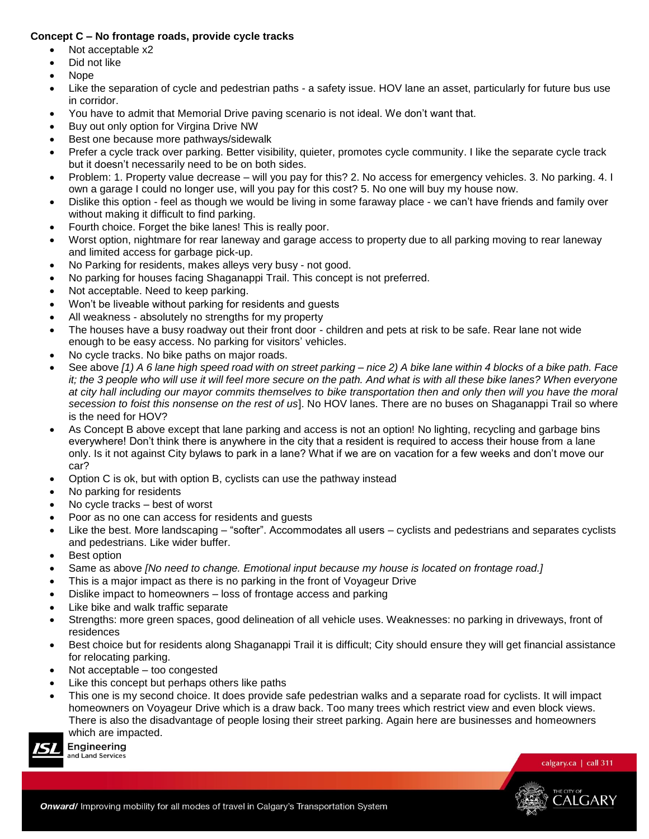## **Concept C – No frontage roads, provide cycle tracks**

- Not acceptable x2
- Did not like
- Nope
- Like the separation of cycle and pedestrian paths a safety issue. HOV lane an asset, particularly for future bus use in corridor.
- You have to admit that Memorial Drive paving scenario is not ideal. We don't want that.
- Buy out only option for Virgina Drive NW
- Best one because more pathways/sidewalk
- Prefer a cycle track over parking. Better visibility, quieter, promotes cycle community. I like the separate cycle track but it doesn't necessarily need to be on both sides.
- Problem: 1. Property value decrease will you pay for this? 2. No access for emergency vehicles. 3. No parking. 4. I own a garage I could no longer use, will you pay for this cost? 5. No one will buy my house now.
- Dislike this option feel as though we would be living in some faraway place we can't have friends and family over without making it difficult to find parking.
- Fourth choice. Forget the bike lanes! This is really poor.
- Worst option, nightmare for rear laneway and garage access to property due to all parking moving to rear laneway and limited access for garbage pick-up.
- No Parking for residents, makes alleys very busy not good.
- No parking for houses facing Shaganappi Trail. This concept is not preferred.
- Not acceptable. Need to keep parking.
- Won't be liveable without parking for residents and guests
- All weakness absolutely no strengths for my property
- The houses have a busy roadway out their front door children and pets at risk to be safe. Rear lane not wide enough to be easy access. No parking for visitors' vehicles.
- No cycle tracks. No bike paths on major roads.
- See above *[1) A 6 lane high speed road with on street parking – nice 2) A bike lane within 4 blocks of a bike path. Face it; the 3 people who will use it will feel more secure on the path. And what is with all these bike lanes? When everyone at city hall including our mayor commits themselves to bike transportation then and only then will you have the moral secession to foist this nonsense on the rest of us*]. No HOV lanes. There are no buses on Shaganappi Trail so where is the need for HOV?
- As Concept B above except that lane parking and access is not an option! No lighting, recycling and garbage bins everywhere! Don't think there is anywhere in the city that a resident is required to access their house from a lane only. Is it not against City bylaws to park in a lane? What if we are on vacation for a few weeks and don't move our car?
- Option C is ok, but with option B, cyclists can use the pathway instead
- No parking for residents
- No cycle tracks best of worst
- Poor as no one can access for residents and guests
- Like the best. More landscaping "softer". Accommodates all users cyclists and pedestrians and separates cyclists and pedestrians. Like wider buffer.
- Best option

Engineering and Land Services

- Same as above *[No need to change. Emotional input because my house is located on frontage road.]*
- This is a major impact as there is no parking in the front of Voyageur Drive
- Dislike impact to homeowners loss of frontage access and parking
- Like bike and walk traffic separate
- Strengths: more green spaces, good delineation of all vehicle uses. Weaknesses: no parking in driveways, front of residences
- Best choice but for residents along Shaganappi Trail it is difficult; City should ensure they will get financial assistance for relocating parking.
- Not acceptable too congested
- Like this concept but perhaps others like paths
- This one is my second choice. It does provide safe pedestrian walks and a separate road for cyclists. It will impact homeowners on Voyageur Drive which is a draw back. Too many trees which restrict view and even block views. There is also the disadvantage of people losing their street parking. Again here are businesses and homeowners which are impacted.

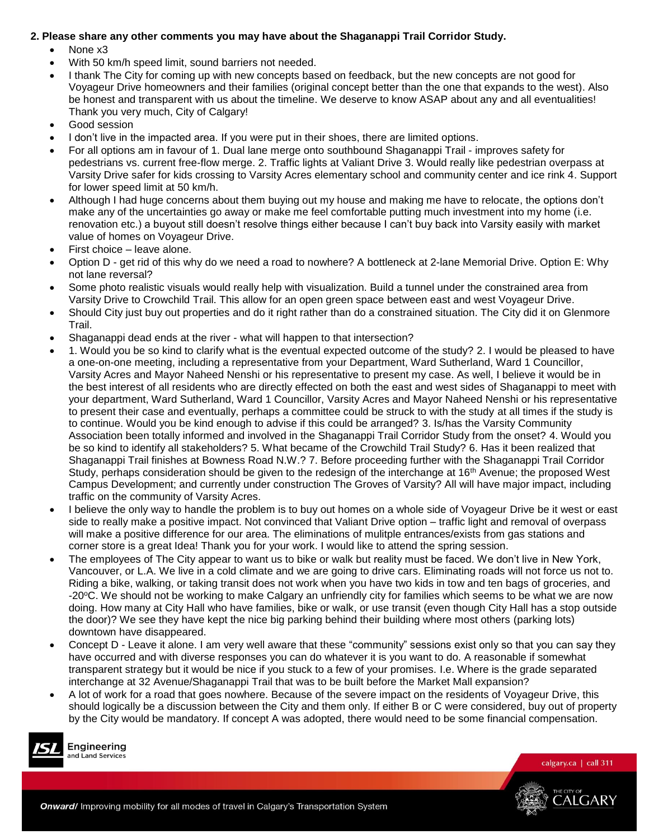## **2. Please share any other comments you may have about the Shaganappi Trail Corridor Study.**

- None x3
- With 50 km/h speed limit, sound barriers not needed.
- I thank The City for coming up with new concepts based on feedback, but the new concepts are not good for Voyageur Drive homeowners and their families (original concept better than the one that expands to the west). Also be honest and transparent with us about the timeline. We deserve to know ASAP about any and all eventualities! Thank you very much, City of Calgary!
- Good session
- I don't live in the impacted area. If you were put in their shoes, there are limited options.
- For all options am in favour of 1. Dual lane merge onto southbound Shaganappi Trail improves safety for pedestrians vs. current free-flow merge. 2. Traffic lights at Valiant Drive 3. Would really like pedestrian overpass at Varsity Drive safer for kids crossing to Varsity Acres elementary school and community center and ice rink 4. Support for lower speed limit at 50 km/h.
- Although I had huge concerns about them buying out my house and making me have to relocate, the options don't make any of the uncertainties go away or make me feel comfortable putting much investment into my home (i.e. renovation etc.) a buyout still doesn't resolve things either because I can't buy back into Varsity easily with market value of homes on Voyageur Drive.
- First choice leave alone.
- Option D get rid of this why do we need a road to nowhere? A bottleneck at 2-lane Memorial Drive. Option E: Why not lane reversal?
- Some photo realistic visuals would really help with visualization. Build a tunnel under the constrained area from Varsity Drive to Crowchild Trail. This allow for an open green space between east and west Voyageur Drive.
- Should City just buy out properties and do it right rather than do a constrained situation. The City did it on Glenmore Trail.
- Shaganappi dead ends at the river what will happen to that intersection?
- 1. Would you be so kind to clarify what is the eventual expected outcome of the study? 2. I would be pleased to have a one-on-one meeting, including a representative from your Department, Ward Sutherland, Ward 1 Councillor, Varsity Acres and Mayor Naheed Nenshi or his representative to present my case. As well, I believe it would be in the best interest of all residents who are directly effected on both the east and west sides of Shaganappi to meet with your department, Ward Sutherland, Ward 1 Councillor, Varsity Acres and Mayor Naheed Nenshi or his representative to present their case and eventually, perhaps a committee could be struck to with the study at all times if the study is to continue. Would you be kind enough to advise if this could be arranged? 3. Is/has the Varsity Community Association been totally informed and involved in the Shaganappi Trail Corridor Study from the onset? 4. Would you be so kind to identify all stakeholders? 5. What became of the Crowchild Trail Study? 6. Has it been realized that Shaganappi Trail finishes at Bowness Road N.W.? 7. Before proceeding further with the Shaganappi Trail Corridor Study, perhaps consideration should be given to the redesign of the interchange at 16<sup>th</sup> Avenue; the proposed West Campus Development; and currently under construction The Groves of Varsity? All will have major impact, including traffic on the community of Varsity Acres.
- I believe the only way to handle the problem is to buy out homes on a whole side of Voyageur Drive be it west or east side to really make a positive impact. Not convinced that Valiant Drive option – traffic light and removal of overpass will make a positive difference for our area. The eliminations of mulitple entrances/exists from gas stations and corner store is a great Idea! Thank you for your work. I would like to attend the spring session.
- The employees of The City appear to want us to bike or walk but reality must be faced. We don't live in New York, Vancouver, or L.A. We live in a cold climate and we are going to drive cars. Eliminating roads will not force us not to. Riding a bike, walking, or taking transit does not work when you have two kids in tow and ten bags of groceries, and -20°C. We should not be working to make Calgary an unfriendly city for families which seems to be what we are now doing. How many at City Hall who have families, bike or walk, or use transit (even though City Hall has a stop outside the door)? We see they have kept the nice big parking behind their building where most others (parking lots) downtown have disappeared.
- Concept D Leave it alone. I am very well aware that these "community" sessions exist only so that you can say they have occurred and with diverse responses you can do whatever it is you want to do. A reasonable if somewhat transparent strategy but it would be nice if you stuck to a few of your promises. I.e. Where is the grade separated interchange at 32 Avenue/Shaganappi Trail that was to be built before the Market Mall expansion?
- A lot of work for a road that goes nowhere. Because of the severe impact on the residents of Voyageur Drive, this should logically be a discussion between the City and them only. If either B or C were considered, buy out of property by the City would be mandatory. If concept A was adopted, there would need to be some financial compensation.



Engineering and Land Services